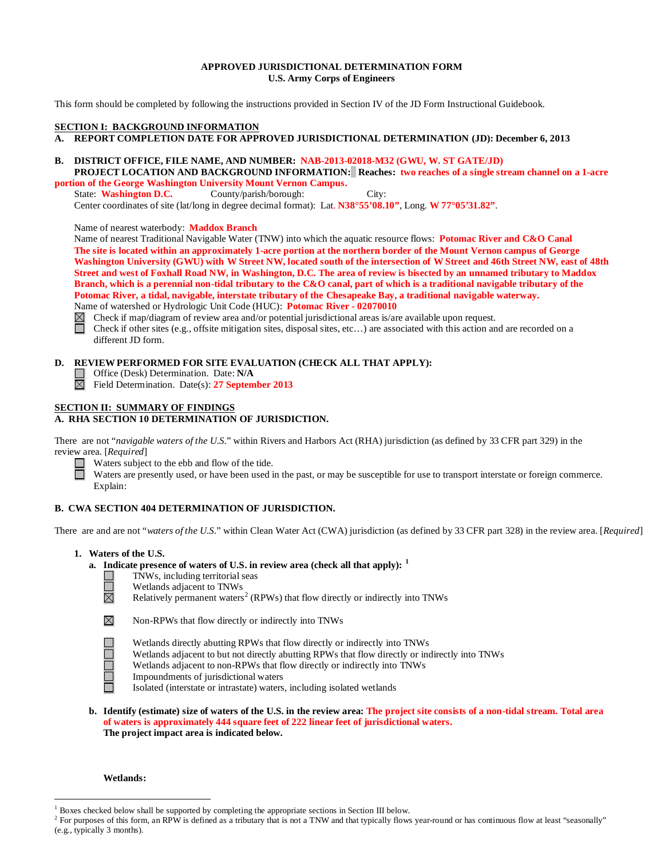### **APPROVED JURISDICTIONAL DETERMINATION FORM U.S. Army Corps of Engineers**

This form should be completed by following the instructions provided in Section IV of the JD Form Instructional Guidebook.

### **SECTION I: BACKGROUND INFORMATION**

### **A. REPORT COMPLETION DATE FOR APPROVED JURISDICTIONAL DETERMINATION (JD): December 6, 2013**

# **B. DISTRICT OFFICE, FILE NAME, AND NUMBER: NAB-2013-02018-M32 (GWU, W. ST GATE/JD)**

 **PROJECT LOCATION AND BACKGROUND INFORMATION: Reaches: two reaches of a single stream channel on a 1-acre portion of the George Washington University Mount Vernon Campus.**<br>State: Washington D.C. County/parish/borough:

State: **Washington D.C.** County/parish/borough: City: Center coordinates of site (lat/long in degree decimal format): Lat. **N38°55'08.10"**, Long. **W 77°05'31.82"**.

Name of nearest waterbody: **Maddox Branch**

Name of nearest Traditional Navigable Water (TNW) into which the aquatic resource flows: **Potomac River and C&O Canal The site is located within an approximately 1-acre portion at the northern border of the Mount Vernon campus of George Washington University (GWU) with W Street NW, located south of the intersection of W Street and 46th Street NW, east of 48th Street and west of Foxhall Road NW, in Washington, D.C. The area of review is bisected by an unnamed tributary to Maddox Branch, which is a perennial non-tidal tributary to the C&O canal, part of which is a traditional navigable tributary of the Potomac River, a tidal, navigable, interstate tributary of the Chesapeake Bay, a traditional navigable waterway.** Name of watershed or Hydrologic Unit Code (HUC): **Potomac River - 02070010**

 $\boxtimes$ Check if map/diagram of review area and/or potential jurisdictional areas is/are available upon request.

Check if other sites (e.g., offsite mitigation sites, disposal sites, etc…) are associated with this action and are recorded on a different JD form.

# **D. REVIEW PERFORMED FOR SITE EVALUATION (CHECK ALL THAT APPLY):**

- Office (Desk) Determination. Date: **N/A**
- Field Determination. Date(s): **27 September 2013**

### **SECTION II: SUMMARY OF FINDINGS A. RHA SECTION 10 DETERMINATION OF JURISDICTION.**

There are not "*navigable waters of the U.S.*" within Rivers and Harbors Act (RHA) jurisdiction (as defined by 33 CFR part 329) in the review area. [*Required*]

Waters subject to the ebb and flow of the tide. 戸

Waters are presently used, or have been used in the past, or may be susceptible for use to transport interstate or foreign commerce. Explain:

# **B. CWA SECTION 404 DETERMINATION OF JURISDICTION.**

There are and are not "*waters of the U.S.*" within Clean Water Act (CWA) jurisdiction (as defined by 33 CFR part 328) in the review area. [*Required*]

### **1. Waters of the U.S.**

**a. Indicate presence of waters of U.S. in review area (check all that apply): [1](#page-0-0)**



- TNWs, including territorial seas
	- Wetlands adjacent to TNWs
	- Relatively permanent waters<sup>[2](#page-0-1)</sup> (RPWs) that flow directly or indirectly into TNWs



Non-RPWs that flow directly or indirectly into TNWs



Wetlands directly abutting RPWs that flow directly or indirectly into TNWs Wetlands adjacent to but not directly abutting RPWs that flow directly or indirectly into TNWs Wetlands adjacent to non-RPWs that flow directly or indirectly into TNWs Impoundments of jurisdictional waters Isolated (interstate or intrastate) waters, including isolated wetlands

**b. Identify (estimate) size of waters of the U.S. in the review area: The project site consists of a non-tidal stream. Total area of waters is approximately 444 square feet of 222 linear feet of jurisdictional waters. The project impact area is indicated below.**

### **Wetlands:**

<span id="page-0-0"></span> <sup>1</sup> Boxes checked below shall be supported by completing the appropriate sections in Section III below.

<span id="page-0-1"></span> $2^2$  For purposes of this form, an RPW is defined as a tributary that is not a TNW and that typically flows year-round or has continuous flow at least "seasonally" (e.g., typically 3 months).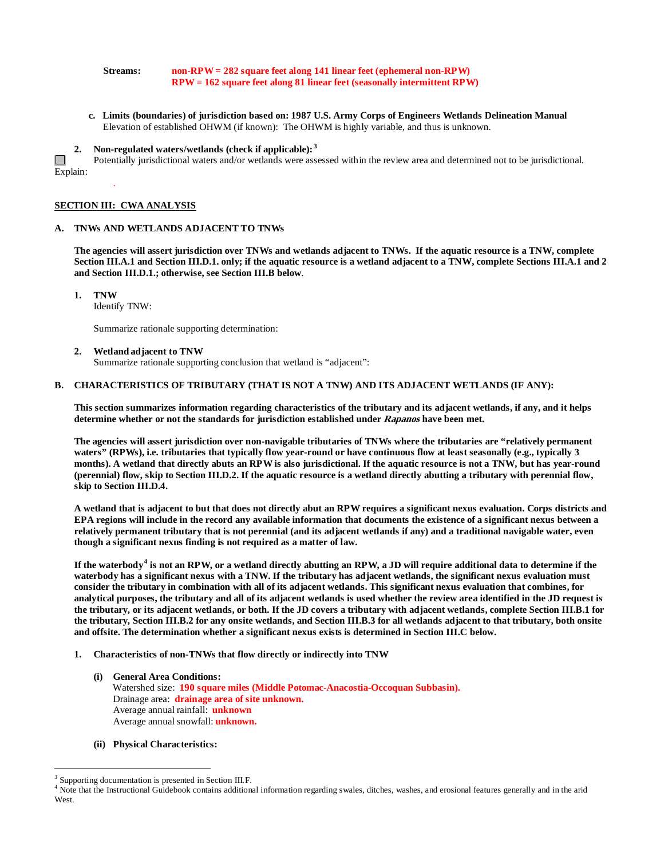### **Streams: non-RPW= 282 square feet along 141 linear feet (ephemeral non-RPW) RPW = 162 square feet along 81 linear feet (seasonally intermittent RPW)**

 **c. Limits (boundaries) of jurisdiction based on: 1987 U.S. Army Corps of Engineers Wetlands Delineation Manual** Elevation of established OHWM (if known): The OHWM is highly variable, and thus is unknown.

**2. Non-regulated waters/wetlands (check if applicable): [3](#page-1-0)**

 $\Box$ Potentially jurisdictional waters and/or wetlands were assessed within the review area and determined not to be jurisdictional. Explain:

### **SECTION III: CWA ANALYSIS**

.

### **A. TNWs AND WETLANDS ADJACENT TO TNWs**

**The agencies will assert jurisdiction over TNWs and wetlands adjacent to TNWs. If the aquatic resource is a TNW, complete Section III.A.1 and Section III.D.1. only; if the aquatic resource is a wetland adjacent to a TNW, complete Sections III.A.1 and 2 and Section III.D.1.; otherwise, see Section III.B below**.

**1. TNW** 

Identify TNW:

Summarize rationale supporting determination:

### **2. Wetland adjacent to TNW**

Summarize rationale supporting conclusion that wetland is "adjacent":

### **B. CHARACTERISTICS OF TRIBUTARY (THAT IS NOT A TNW) AND ITS ADJACENT WETLANDS (IF ANY):**

**This section summarizes information regarding characteristics of the tributary and its adjacent wetlands, if any, and it helps determine whether or not the standards for jurisdiction established under Rapanos have been met.** 

**The agencies will assert jurisdiction over non-navigable tributaries of TNWs where the tributaries are "relatively permanent waters" (RPWs), i.e. tributaries that typically flow year-round or have continuous flow at least seasonally (e.g., typically 3 months). A wetland that directly abuts an RPW is also jurisdictional. If the aquatic resource is not a TNW, but has year-round (perennial) flow, skip to Section III.D.2. If the aquatic resource is a wetland directly abutting a tributary with perennial flow, skip to Section III.D.4.**

**A wetland that is adjacent to but that does not directly abut an RPW requires a significant nexus evaluation. Corps districts and EPA regions will include in the record any available information that documents the existence of a significant nexus between a relatively permanent tributary that is not perennial (and its adjacent wetlands if any) and a traditional navigable water, even though a significant nexus finding is not required as a matter of law.**

**If the waterbody[4](#page-1-1) is not an RPW, or a wetland directly abutting an RPW, a JD will require additional data to determine if the waterbody has a significant nexus with a TNW. If the tributary has adjacent wetlands, the significant nexus evaluation must consider the tributary in combination with all of its adjacent wetlands. This significant nexus evaluation that combines, for analytical purposes, the tributary and all of its adjacent wetlands is used whether the review area identified in the JD request is the tributary, or its adjacent wetlands, or both. If the JD covers a tributary with adjacent wetlands, complete Section III.B.1 for the tributary, Section III.B.2 for any onsite wetlands, and Section III.B.3 for all wetlands adjacent to that tributary, both onsite and offsite. The determination whether a significant nexus exists is determined in Section III.C below.**

- **1. Characteristics of non-TNWs that flow directly or indirectly into TNW**
	- **(i) General Area Conditions:** Watershed size: **190 square miles (Middle Potomac-Anacostia-Occoquan Subbasin).** Drainage area: **drainage area of site unknown.** Average annual rainfall: **unknown** Average annual snowfall: **unknown.**
	- **(ii) Physical Characteristics:**

<span id="page-1-0"></span><sup>&</sup>lt;sup>3</sup> Supporting documentation is presented in Section III.F.

<span id="page-1-1"></span><sup>&</sup>lt;sup>4</sup> Note that the Instructional Guidebook contains additional information regarding swales, ditches, washes, and erosional features generally and in the arid West.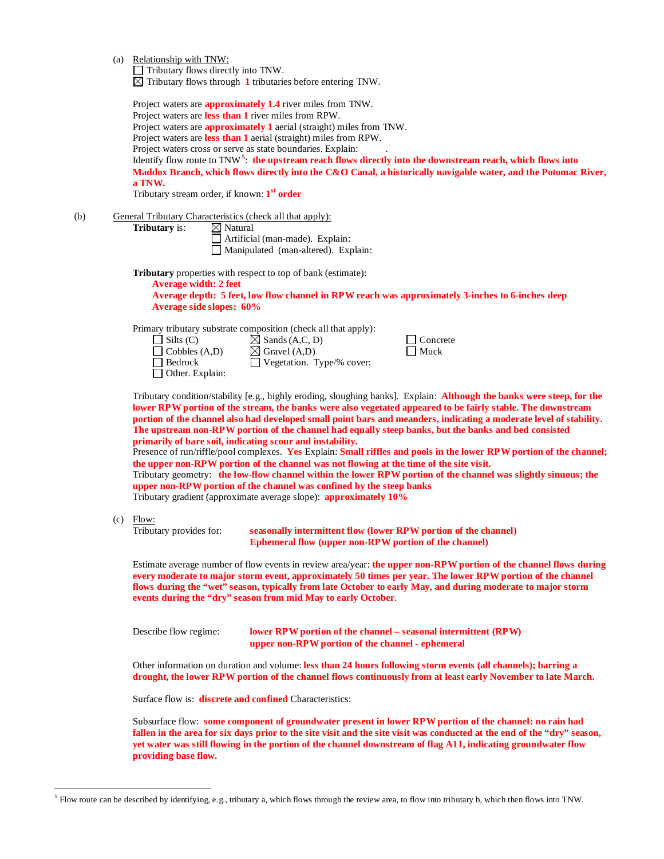(a) Relationship with TNW:

 $\Box$  Tributary flows directly into TNW.

 $\overline{\boxtimes}$  Tributary flows through  $1$  tributaries before entering TNW.

|     |     | Project waters are <b>approximately 1.4</b> river miles from TNW.<br>Project waters are less than 1 river miles from RPW.<br>Project waters are <b>approximately 1</b> aerial (straight) miles from TNW.<br>Project waters are less than 1 aerial (straight) miles from RPW.<br>Project waters cross or serve as state boundaries. Explain:<br>Identify flow route to $TNN5$ : the upstream reach flows directly into the downstream reach, which flows into<br>Maddox Branch, which flows directly into the C&O Canal, a historically navigable water, and the Potomac River,<br>a TNW.<br>Tributary stream order, if known: 1 <sup>st</sup> order                                                                                                                                                                                                                                                                                                                                                                       |  |  |  |
|-----|-----|---------------------------------------------------------------------------------------------------------------------------------------------------------------------------------------------------------------------------------------------------------------------------------------------------------------------------------------------------------------------------------------------------------------------------------------------------------------------------------------------------------------------------------------------------------------------------------------------------------------------------------------------------------------------------------------------------------------------------------------------------------------------------------------------------------------------------------------------------------------------------------------------------------------------------------------------------------------------------------------------------------------------------|--|--|--|
| (b) |     | General Tributary Characteristics (check all that apply):<br>Tributary is:<br>$\boxtimes$ Natural<br>Artificial (man-made). Explain:<br>Manipulated (man-altered). Explain:                                                                                                                                                                                                                                                                                                                                                                                                                                                                                                                                                                                                                                                                                                                                                                                                                                               |  |  |  |
|     |     | <b>Tributary</b> properties with respect to top of bank (estimate):<br><b>Average width: 2 feet</b><br>Average depth: 5 feet, low flow channel in RPW reach was approximately 3-inches to 6-inches deep<br><b>Average side slopes: 60%</b>                                                                                                                                                                                                                                                                                                                                                                                                                                                                                                                                                                                                                                                                                                                                                                                |  |  |  |
|     |     | Primary tributary substrate composition (check all that apply):<br>$\Box$ Silts (C)<br>$\boxtimes$ Sands (A,C, D)<br>Concrete<br>$\boxtimes$ Gravel (A,D)<br>Muck<br>$\Box$ Cobbles (A,D)<br>Bedrock<br>Vegetation. Type/% cover:<br>Other. Explain:                                                                                                                                                                                                                                                                                                                                                                                                                                                                                                                                                                                                                                                                                                                                                                      |  |  |  |
|     |     | Tributary condition/stability [e.g., highly eroding, sloughing banks]. Explain: <b>Although the banks were steep, for the</b><br>lower RPW portion of the stream, the banks were also vegetated appeared to be fairly stable. The downstream<br>portion of the channel also had developed small point bars and meanders, indicating a moderate level of stability.<br>The upstream non-RPW portion of the channel had equally steep banks, but the banks and bed consisted<br>primarily of bare soil, indicating scour and instability.<br>Presence of run/riffle/pool complexes. Yes Explain: Small riffles and pools in the lower RPW portion of the channel;<br>the upper non-RPW portion of the channel was not flowing at the time of the site visit.<br>Tributary geometry: the low-flow channel within the lower RPW portion of the channel was slightly sinuous; the<br>upper non-RPW portion of the channel was confined by the steep banks<br>Tributary gradient (approximate average slope): approximately 10% |  |  |  |
|     | (c) | Flow:<br>Tributary provides for:<br>seasonally intermittent flow (lower RPW portion of the channel)<br>Ephemeral flow (upper non-RPW portion of the channel)                                                                                                                                                                                                                                                                                                                                                                                                                                                                                                                                                                                                                                                                                                                                                                                                                                                              |  |  |  |
|     |     | Estimate average number of flow events in review area/year: the upper non-RPW portion of the channel flows during<br>every moderate to major storm event, approximately 50 times per year. The lower RPW portion of the channel<br>flows during the "wet" season, typically from late October to early May, and during moderate to major storm<br>events during the "dry" season from mid May to early October.                                                                                                                                                                                                                                                                                                                                                                                                                                                                                                                                                                                                           |  |  |  |
|     |     | Describe flow regime:<br>lower RPW portion of the channel – seasonal intermittent (RPW)<br>upper non-RPW portion of the channel - ephemeral                                                                                                                                                                                                                                                                                                                                                                                                                                                                                                                                                                                                                                                                                                                                                                                                                                                                               |  |  |  |
|     |     | Other information on duration and volume: less than 24 hours following storm events (all channels); barring a<br>drought, the lower RPW portion of the channel flows continuously from at least early November to late March.                                                                                                                                                                                                                                                                                                                                                                                                                                                                                                                                                                                                                                                                                                                                                                                             |  |  |  |
|     |     | Surface flow is: <b>discrete and confined</b> Characteristics:                                                                                                                                                                                                                                                                                                                                                                                                                                                                                                                                                                                                                                                                                                                                                                                                                                                                                                                                                            |  |  |  |
|     |     |                                                                                                                                                                                                                                                                                                                                                                                                                                                                                                                                                                                                                                                                                                                                                                                                                                                                                                                                                                                                                           |  |  |  |

Subsurface flow: **some component of groundwater present in lower RPW portion of the channel: no rain had**  fallen in the area for six days prior to the site visit and the site visit was conducted at the end of the "dry" season, **yet water was still flowing in the portion of the channel downstream of flag A11, indicating groundwater flow providing base flow.** 

<span id="page-2-0"></span><sup>&</sup>lt;sup>5</sup> Flow route can be described by identifying, e.g., tributary a, which flows through the review area, to flow into tributary b, which then flows into TNW.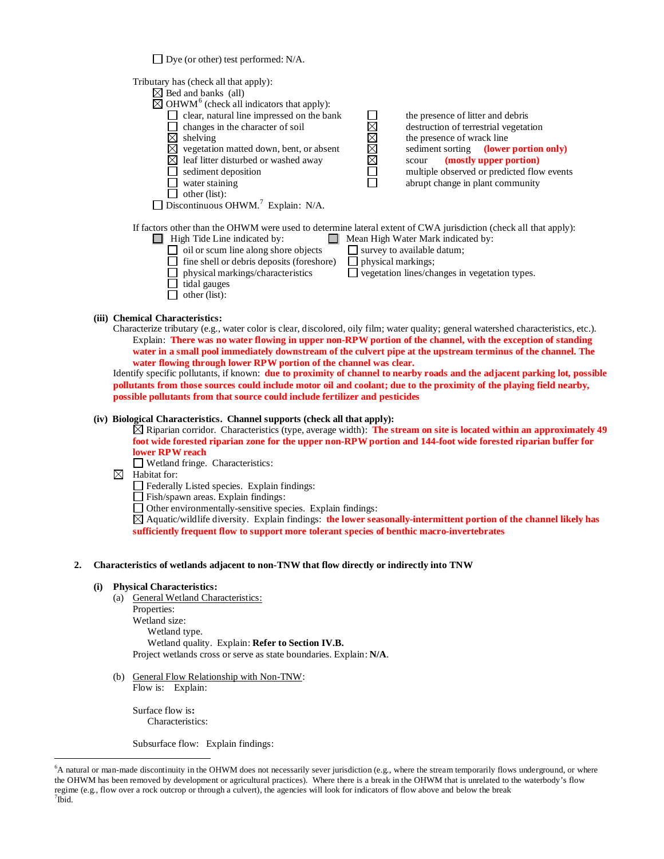$\Box$  Dye (or other) test performed: N/A.

Tributary has (check all that apply):



If factors other than the OHWM were used to determine lateral extent of CWA jurisdiction (check all that apply):

- $\Box$  High Tide Line indicated by:  $\Box$  Mean High Water Mark indicated by: oil or scum line along shore objects  $\Box$  survey to available datum;<br> $\Box$  fine shell or debris deposits (foreshore)  $\Box$  physical markings;
	- $\Box$  fine shell or debris deposits (foreshore)
	-
	- $\Box$  tidal gauges
	- $\Box$  other (list):

physical markings/characteristics  $\Box$  vegetation lines/changes in vegetation types.

### **(iii) Chemical Characteristics:**

Characterize tributary (e.g., water color is clear, discolored, oily film; water quality; general watershed characteristics, etc.). Explain: **There was no water flowing in upper non-RPW portion of the channel, with the exception of standing water in a small pool immediately downstream of the culvert pipe at the upstream terminus of the channel. The water flowing through lower RPW portion of the channel was clear.** 

Identify specific pollutants, if known: **due to proximity of channel to nearby roads and the adjacent parking lot, possible pollutants from those sources could include motor oil and coolant; due to the proximity of the playing field nearby, possible pollutants from that source could include fertilizer and pesticides**

### **(iv) Biological Characteristics. Channel supports (check all that apply):**

Riparian corridor. Characteristics (type, average width): **The stream on site is located within an approximately 49 foot wide forested riparian zone for the upper non-RPW portion and 144-foot wide forested riparian buffer for lower RPW reach** 

- Wetland fringe. Characteristics:
- $\boxtimes$  Habitat for:
	- Federally Listed species. Explain findings:
	- Fish/spawn areas. Explain findings:
	- $\Box$  Other environmentally-sensitive species. Explain findings:

Aquatic/wildlife diversity. Explain findings: **the lower seasonally-intermittent portion of the channel likely has sufficiently frequent flow to support more tolerant species of benthic macro-invertebrates**

### **2. Characteristics of wetlands adjacent to non-TNW that flow directly or indirectly into TNW**

### **(i) Physical Characteristics:**

(a) General Wetland Characteristics:

Properties: Wetland size: Wetland type. Wetland quality. Explain: **Refer to Section IV.B.** Project wetlands cross or serve as state boundaries. Explain: **N/A**.

(b) General Flow Relationship with Non-TNW: Flow is: Explain:

Surface flow is**:**  Characteristics:

Subsurface flow:Explain findings:

<span id="page-3-1"></span><span id="page-3-0"></span> <sup>6</sup> <sup>6</sup>A natural or man-made discontinuity in the OHWM does not necessarily sever jurisdiction (e.g., where the stream temporarily flows underground, or where the OHWM has been removed by development or agricultural practices). Where there is a break in the OHWM that is unrelated to the waterbody's flow regime (e.g., flow over a rock outcrop or through a culvert), the agencies will look for indicators of flow above and below the break <sup>7</sup>  $^7$ Ibid.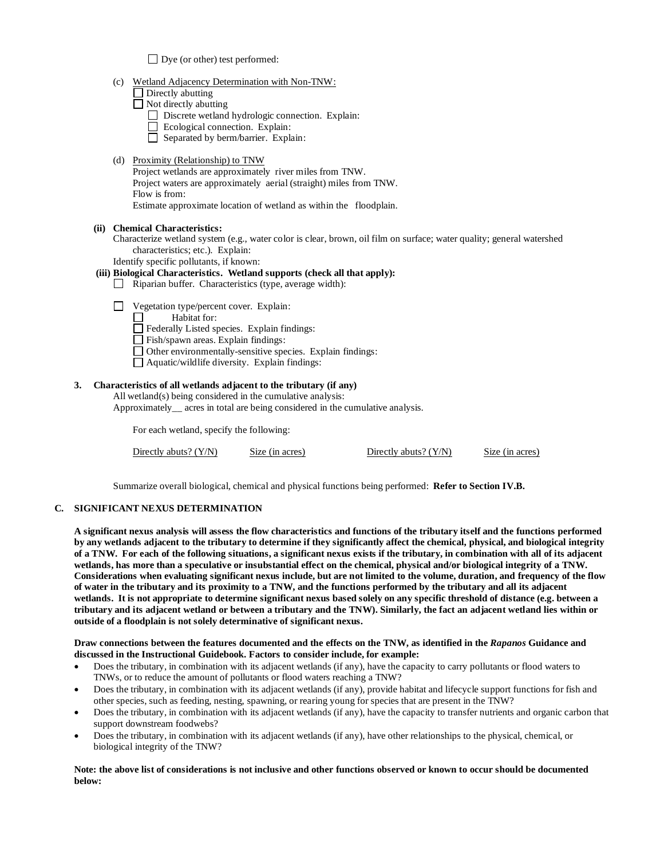$\Box$  Dye (or other) test performed:

- (c) Wetland Adjacency Determination with Non-TNW:
	- $\Box$  Directly abutting
	- Not directly abutting
		- Discrete wetland hydrologic connection. Explain:
		- Ecological connection. Explain:
		- Separated by berm/barrier. Explain:
- (d) Proximity (Relationship) to TNW

Project wetlands are approximately river miles from TNW. Project waters are approximately aerial (straight) miles from TNW. Flow is from: Estimate approximate location of wetland as within the floodplain.

### **(ii) Chemical Characteristics:**

Characterize wetland system (e.g., water color is clear, brown, oil film on surface; water quality; general watershed characteristics; etc.). Explain:

Identify specific pollutants, if known:

# **(iii) Biological Characteristics. Wetland supports (check all that apply):**

- $\Box$  Riparian buffer. Characteristics (type, average width):
- Vegetation type/percent cover. Explain:
	- Habitat for: П
	- Federally Listed species. Explain findings:
	- Fish/spawn areas. Explain findings:
	- Other environmentally-sensitive species. Explain findings:
	- Aquatic/wildlife diversity. Explain findings:

### **3. Characteristics of all wetlands adjacent to the tributary (if any)**

All wetland(s) being considered in the cumulative analysis: Approximately\_\_ acres in total are being considered in the cumulative analysis.

For each wetland, specify the following:

| Directly abuts? $(Y/N)$ | Size (in acres) | Directly abuts? $(Y/N)$ | Size (in acres) |
|-------------------------|-----------------|-------------------------|-----------------|
|-------------------------|-----------------|-------------------------|-----------------|

Summarize overall biological, chemical and physical functions being performed: **Refer to Section IV.B.**

# **C. SIGNIFICANT NEXUS DETERMINATION**

**A significant nexus analysis will assess the flow characteristics and functions of the tributary itself and the functions performed by any wetlands adjacent to the tributary to determine if they significantly affect the chemical, physical, and biological integrity of a TNW. For each of the following situations, a significant nexus exists if the tributary, in combination with all of its adjacent wetlands, has more than a speculative or insubstantial effect on the chemical, physical and/or biological integrity of a TNW. Considerations when evaluating significant nexus include, but are not limited to the volume, duration, and frequency of the flow of water in the tributary and its proximity to a TNW, and the functions performed by the tributary and all its adjacent wetlands. It is not appropriate to determine significant nexus based solely on any specific threshold of distance (e.g. between a tributary and its adjacent wetland or between a tributary and the TNW). Similarly, the fact an adjacent wetland lies within or outside of a floodplain is not solely determinative of significant nexus.** 

### **Draw connections between the features documented and the effects on the TNW, as identified in the** *Rapanos* **Guidance and discussed in the Instructional Guidebook. Factors to consider include, for example:**

- Does the tributary, in combination with its adjacent wetlands (if any), have the capacity to carry pollutants or flood waters to TNWs, or to reduce the amount of pollutants or flood waters reaching a TNW?
- Does the tributary, in combination with its adjacent wetlands (if any), provide habitat and lifecycle support functions for fish and other species, such as feeding, nesting, spawning, or rearing young for species that are present in the TNW?
- Does the tributary, in combination with its adjacent wetlands (if any), have the capacity to transfer nutrients and organic carbon that support downstream foodwebs?
- Does the tributary, in combination with its adjacent wetlands (if any), have other relationships to the physical, chemical, or biological integrity of the TNW?

**Note: the above list of considerations is not inclusive and other functions observed or known to occur should be documented below:**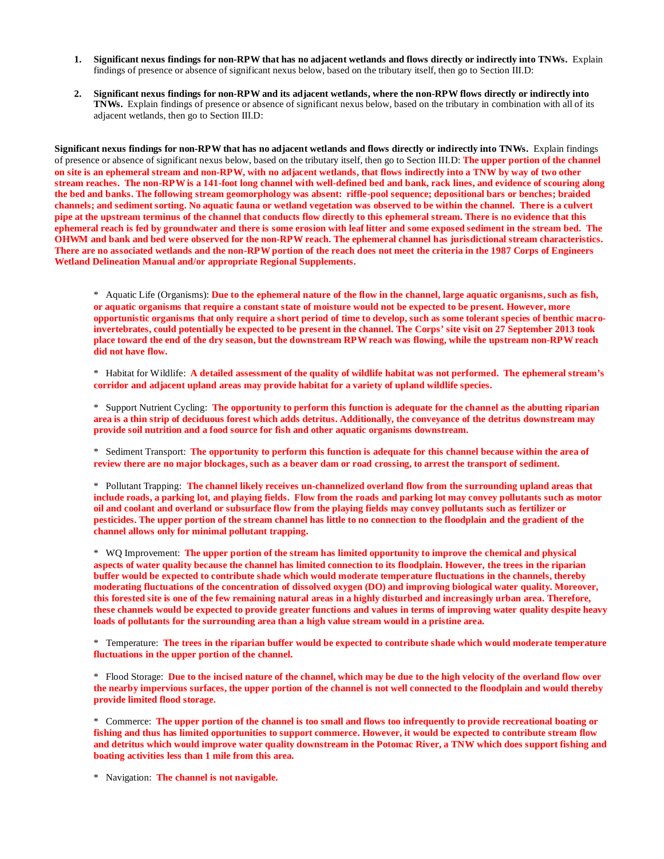- **1. Significant nexus findings for non-RPW that has no adjacent wetlands and flows directly or indirectly into TNWs.** Explain findings of presence or absence of significant nexus below, based on the tributary itself, then go to Section III.D:
- **2. Significant nexus findings for non-RPW and its adjacent wetlands, where the non-RPW flows directly or indirectly into TNWs.** Explain findings of presence or absence of significant nexus below, based on the tributary in combination with all of its adjacent wetlands, then go to Section III.D:

**Significant nexus findings for non-RPW that has no adjacent wetlands and flows directly or indirectly into TNWs.** Explain findings of presence or absence of significant nexus below, based on the tributary itself, then go to Section III.D: **The upper portion of the channel on site is an ephemeral stream and non-RPW, with no adjacent wetlands, that flows indirectly into a TNW by way of two other stream reaches. The non-RPWis a 141-foot long channel with well-defined bed and bank, rack lines, and evidence of scouring along the bed and banks. The following stream geomorphology was absent: riffle-pool sequence; depositional bars or benches; braided channels; and sediment sorting. No aquatic fauna or wetland vegetation was observed to be within the channel. There is a culvert pipe at the upstream terminus of the channel that conducts flow directly to this ephemeral stream. There is no evidence that this ephemeral reach is fed by groundwater and there is some erosion with leaf litter and some exposed sediment in the stream bed. The OHWM and bank and bed were observed for the non-RPW reach. The ephemeral channel has jurisdictional stream characteristics. There are no associated wetlands and the non-RPW portion of the reach does not meet the criteria in the 1987 Corps of Engineers Wetland Delineation Manual and/or appropriate Regional Supplements.**

\* Aquatic Life (Organisms): **Due to the ephemeral nature of the flow in the channel, large aquatic organisms, such as fish, or aquatic organisms that require a constant state of moisture would not be expected to be present. However, more opportunistic organisms that only require a short period of time to develop, such as some tolerant species of benthic macroinvertebrates, could potentially be expected to be present in the channel. The Corps' site visit on 27 September 2013 took place toward the end of the dry season, but the downstream RPW reach was flowing, while the upstream non-RPW reach did not have flow.** 

\* Habitat for Wildlife: **A detailed assessment of the quality of wildlife habitat was not performed. The ephemeral stream's corridor and adjacent upland areas may provide habitat for a variety of upland wildlife species.** 

\* Support Nutrient Cycling: **The opportunity to perform this function is adequate for the channel as the abutting riparian area is a thin strip of deciduous forest which adds detritus. Additionally, the conveyance of the detritus downstream may provide soil nutrition and a food source for fish and other aquatic organisms downstream.**

\* Sediment Transport: **The opportunity to perform this function is adequate for this channel because within the area of review there are no major blockages, such as a beaver dam or road crossing, to arrest the transport of sediment.**

\* Pollutant Trapping: **The channel likely receives un-channelized overland flow from the surrounding upland areas that include roads, a parking lot, and playing fields. Flow from the roads and parking lot may convey pollutants such as motor oil and coolant and overland or subsurface flow from the playing fields may convey pollutants such as fertilizer or pesticides. The upper portion of the stream channel has little to no connection to the floodplain and the gradient of the channel allows only for minimal pollutant trapping.** 

\* WQ Improvement: **The upper portion of the stream has limited opportunity to improve the chemical and physical aspects of water quality because the channel has limited connection to its floodplain. However, the trees in the riparian buffer would be expected to contribute shade which would moderate temperature fluctuations in the channels, thereby moderating fluctuations of the concentration of dissolved oxygen (DO) and improving biological water quality. Moreover, this forested site is one of the few remaining natural areas in a highly disturbed and increasingly urban area. Therefore, these channels would be expected to provide greater functions and values in terms of improving water quality despite heavy loads of pollutants for the surrounding area than a high value stream would in a pristine area.**

\* Temperature: **The trees in the riparian buffer would be expected to contribute shade which would moderate temperature fluctuations in the upper portion of the channel.**

\* Flood Storage: **Due to the incised nature of the channel, which may be due to the high velocity of the overland flow over the nearby impervious surfaces, the upper portion of the channel is not well connected to the floodplain and would thereby provide limited flood storage.** 

\* Commerce: **The upper portion of the channel is too small and flows too infrequently to provide recreational boating or fishing and thus has limited opportunities to support commerce. However, it would be expected to contribute stream flow and detritus which would improve water quality downstream in the Potomac River, a TNW which does support fishing and boating activities less than 1 mile from this area.**

\* Navigation: **The channel is not navigable.**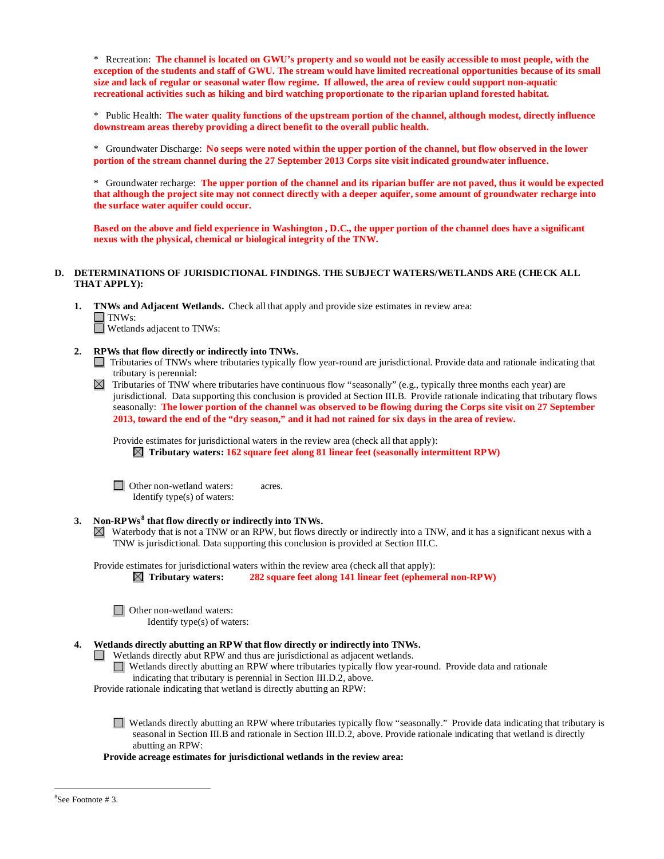\* Recreation: **The channel is located on GWU's property and so would not be easily accessible to most people, with the exception of the students and staff of GWU. The stream would have limited recreational opportunities because of its small size and lack of regular or seasonal water flow regime. If allowed, the area of review could support non-aquatic recreational activities such as hiking and bird watching proportionate to the riparian upland forested habitat.**

\* Public Health: **The water quality functions of the upstream portion of the channel, although modest, directly influence downstream areas thereby providing a direct benefit to the overall public health.**

\* Groundwater Discharge: **No seeps were noted within the upper portion of the channel, but flow observed in the lower portion of the stream channel during the 27 September 2013 Corps site visit indicated groundwater influence.**

\* Groundwater recharge: **The upper portion of the channel and its riparian buffer are not paved, thus it would be expected that although the project site may not connect directly with a deeper aquifer, some amount of groundwater recharge into the surface water aquifer could occur.**

**Based on the above and field experience in Washington , D.C., the upper portion of the channel does have a significant nexus with the physical, chemical or biological integrity of the TNW.**

### **D. DETERMINATIONS OF JURISDICTIONAL FINDINGS. THE SUBJECT WATERS/WETLANDS ARE (CHECK ALL THAT APPLY):**

- **1. TNWs and Adjacent Wetlands.** Check all that apply and provide size estimates in review area: TNWs: Wetlands adjacent to TNWs:
	-
- **2. RPWs that flow directly or indirectly into TNWs.**
	- Tributaries of TNWs where tributaries typically flow year-round are jurisdictional. Provide data and rationale indicating that tributary is perennial:
	- Tributaries of TNW where tributaries have continuous flow "seasonally" (e.g., typically three months each year) are  $\boxtimes$ jurisdictional. Data supporting this conclusion is provided at Section III.B. Provide rationale indicating that tributary flows seasonally: **The lower portion of the channel was observed to be flowing during the Corps site visit on 27 September 2013, toward the end of the "dry season," and it had not rained for six days in the area of review.**

Provide estimates for jurisdictional waters in the review area (check all that apply):

 **Tributary waters: 162 square feet along 81 linear feet (seasonally intermittent RPW)**

□ Other non-wetland waters: acres. Identify type(s) of waters:

### **3. Non-RPWs [8](#page-6-0) that flow directly or indirectly into TNWs.**

Waterbody that is not a TNW or an RPW, but flows directly or indirectly into a TNW, and it has a significant nexus with a TNW is jurisdictional. Data supporting this conclusion is provided at Section III.C.

Provide estimates for jurisdictional waters within the review area (check all that apply):

 **Tributary waters: 282 square feet along 141 linear feet (ephemeral non-RPW)**

□ Other non-wetland waters: Identify type(s) of waters:

### **4. Wetlands directly abutting an RPW that flow directly or indirectly into TNWs.**

Wetlands directly abut RPW and thus are jurisdictional as adjacent wetlands.

Wetlands directly abutting an RPW where tributaries typically flow year-round. Provide data and rationale

indicating that tributary is perennial in Section III.D.2, above.

Provide rationale indicating that wetland is directly abutting an RPW:

Wetlands directly abutting an RPW where tributaries typically flow "seasonally." Provide data indicating that tributary is seasonal in Section III.B and rationale in Section III.D.2, above. Provide rationale indicating that wetland is directly abutting an RPW:

<span id="page-6-0"></span>**Provide acreage estimates for jurisdictional wetlands in the review area:**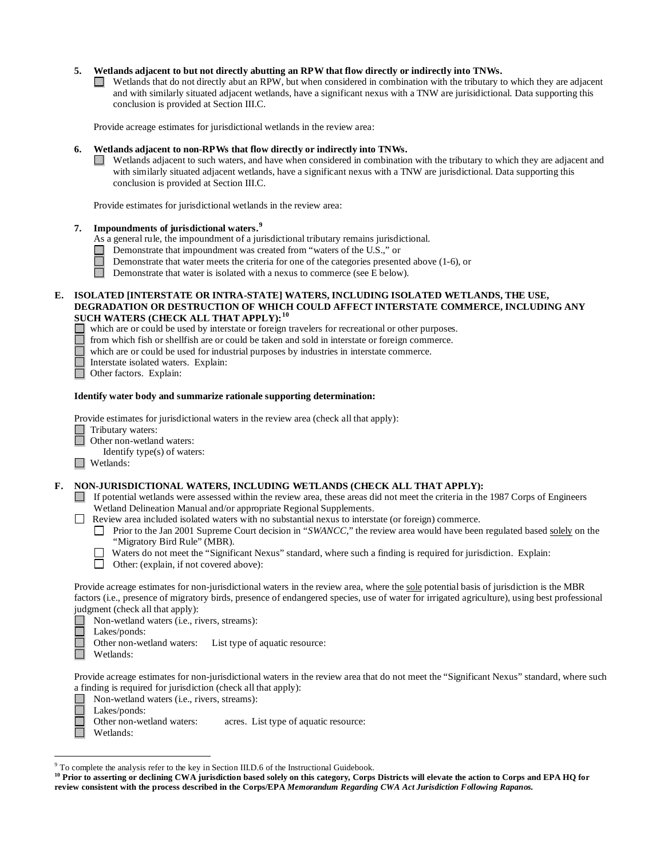### **5. Wetlands adjacent to but not directly abutting an RPW that flow directly or indirectly into TNWs.**

 $\Box$  Wetlands that do not directly abut an RPW, but when considered in combination with the tributary to which they are adjacent and with similarly situated adjacent wetlands, have a significant nexus with a TNW are jurisidictional. Data supporting this conclusion is provided at Section III.C.

Provide acreage estimates for jurisdictional wetlands in the review area:

### **6. Wetlands adjacent to non-RPWs that flow directly or indirectly into TNWs.**

 $\Box$  Wetlands adjacent to such waters, and have when considered in combination with the tributary to which they are adjacent and with similarly situated adjacent wetlands, have a significant nexus with a TNW are jurisdictional. Data supporting this conclusion is provided at Section III.C.

Provide estimates for jurisdictional wetlands in the review area:

# **7. Impoundments of jurisdictional waters.[9](#page-7-0)**

- As a general rule, the impoundment of a jurisdictional tributary remains jurisdictional.
- Demonstrate that impoundment was created from "waters of the U.S.," or
- Demonstrate that water meets the criteria for one of the categories presented above (1-6), or
- $\Box$ Demonstrate that water is isolated with a nexus to commerce (see E below).

### **E. ISOLATED [INTERSTATE OR INTRA-STATE] WATERS, INCLUDING ISOLATED WETLANDS, THE USE, DEGRADATION OR DESTRUCTION OF WHICH COULD AFFECT INTERSTATE COMMERCE, INCLUDING ANY SUCH WATERS (CHECK ALL THAT APPLY):[10](#page-7-1)**

which are or could be used by interstate or foreign travelers for recreational or other purposes.

- $\Box$  from which fish or shellfish are or could be taken and sold in interstate or foreign commerce.
- which are or could be used for industrial purposes by industries in interstate commerce.
- Interstate isolated waters.Explain:
- Other factors.Explain:

### **Identify water body and summarize rationale supporting determination:**

Provide estimates for jurisdictional waters in the review area (check all that apply):

- Tributary waters:
	- Other non-wetland waters:
	- Identify type(s) of waters:
- Wetlands:

### **F. NON-JURISDICTIONAL WATERS, INCLUDING WETLANDS (CHECK ALL THAT APPLY):**

- If potential wetlands were assessed within the review area, these areas did not meet the criteria in the 1987 Corps of Engineers Wetland Delineation Manual and/or appropriate Regional Supplements.
- Review area included isolated waters with no substantial nexus to interstate (or foreign) commerce.
	- Prior to the Jan 2001 Supreme Court decision in "*SWANCC*," the review area would have been regulated based solely on the "Migratory Bird Rule" (MBR).
	- Waters do not meet the "Significant Nexus" standard, where such a finding is required for jurisdiction. Explain:
	- Other: (explain, if not covered above):

Provide acreage estimates for non-jurisdictional waters in the review area, where the sole potential basis of jurisdiction is the MBR factors (i.e., presence of migratory birds, presence of endangered species, use of water for irrigated agriculture), using best professional judgment (check all that apply):

■ Non-wetland waters (i.e., rivers, streams):<br>■ Lakes/ponds:

- Lakes/ponds:
- $\Box$ Other non-wetland waters: List type of aquatic resource:
- $\Box$  Wetlands:

Provide acreage estimates for non-jurisdictional waters in the review area that do not meet the "Significant Nexus" standard, where such a finding is required for jurisdiction (check all that apply):

- Non-wetland waters (i.e., rivers, streams):
- Lakes/ponds:

Other non-wetland waters: acres. List type of aquatic resource:

Wetlands:

 <sup>9</sup> To complete the analysis refer to the key in Section III.D.6 of the Instructional Guidebook.

<span id="page-7-1"></span><span id="page-7-0"></span><sup>&</sup>lt;sup>10</sup> Prior to asserting or declining CWA jurisdiction based solely on this category, Corps Districts will elevate the action to Corps and EPA HQ for **review consistent with the process described in the Corps/EPA** *Memorandum Regarding CWA Act Jurisdiction Following Rapanos.*